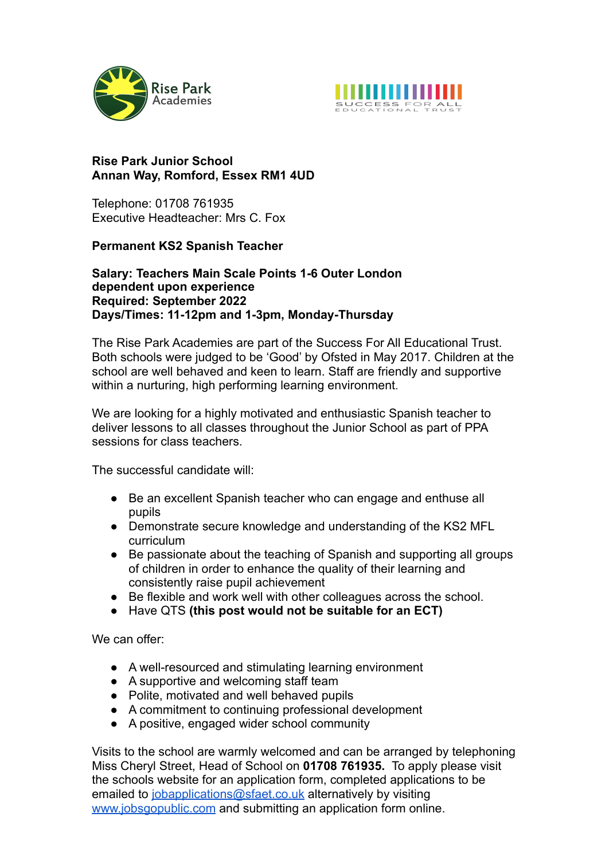



## **Rise Park Junior School Annan Way, Romford, Essex RM1 4UD**

Telephone: 01708 761935 Executive Headteacher: Mrs C. Fox

## **Permanent KS2 Spanish Teacher**

## **Salary: Teachers Main Scale Points 1-6 Outer London dependent upon experience Required: September 2022 Days/Times: 11-12pm and 1-3pm, Monday-Thursday**

The Rise Park Academies are part of the Success For All Educational Trust. Both schools were judged to be 'Good' by Ofsted in May 2017. Children at the school are well behaved and keen to learn. Staff are friendly and supportive within a nurturing, high performing learning environment.

We are looking for a highly motivated and enthusiastic Spanish teacher to deliver lessons to all classes throughout the Junior School as part of PPA sessions for class teachers.

The successful candidate will:

- Be an excellent Spanish teacher who can engage and enthuse all pupils
- Demonstrate secure knowledge and understanding of the KS2 MFL curriculum
- Be passionate about the teaching of Spanish and supporting all groups of children in order to enhance the quality of their learning and consistently raise pupil achievement
- Be flexible and work well with other colleagues across the school.
- Have QTS **(this post would not be suitable for an ECT)**

We can offer:

- A well-resourced and stimulating learning environment
- A supportive and welcoming staff team
- Polite, motivated and well behaved pupils
- A commitment to continuing professional development
- A positive, engaged wider school community

Visits to the school are warmly welcomed and can be arranged by telephoning Miss Cheryl Street, Head of School on **01708 761935.** To apply please visit the schools website for an application form, completed applications to be emailed to *[jobapplications@sfaet.co.uk](mailto:jobapplications@sfaet.co.uk)* alternatively by visiting [www.jobsgopublic.com](http://www.jobsgopublic.com) and submitting an application form online.